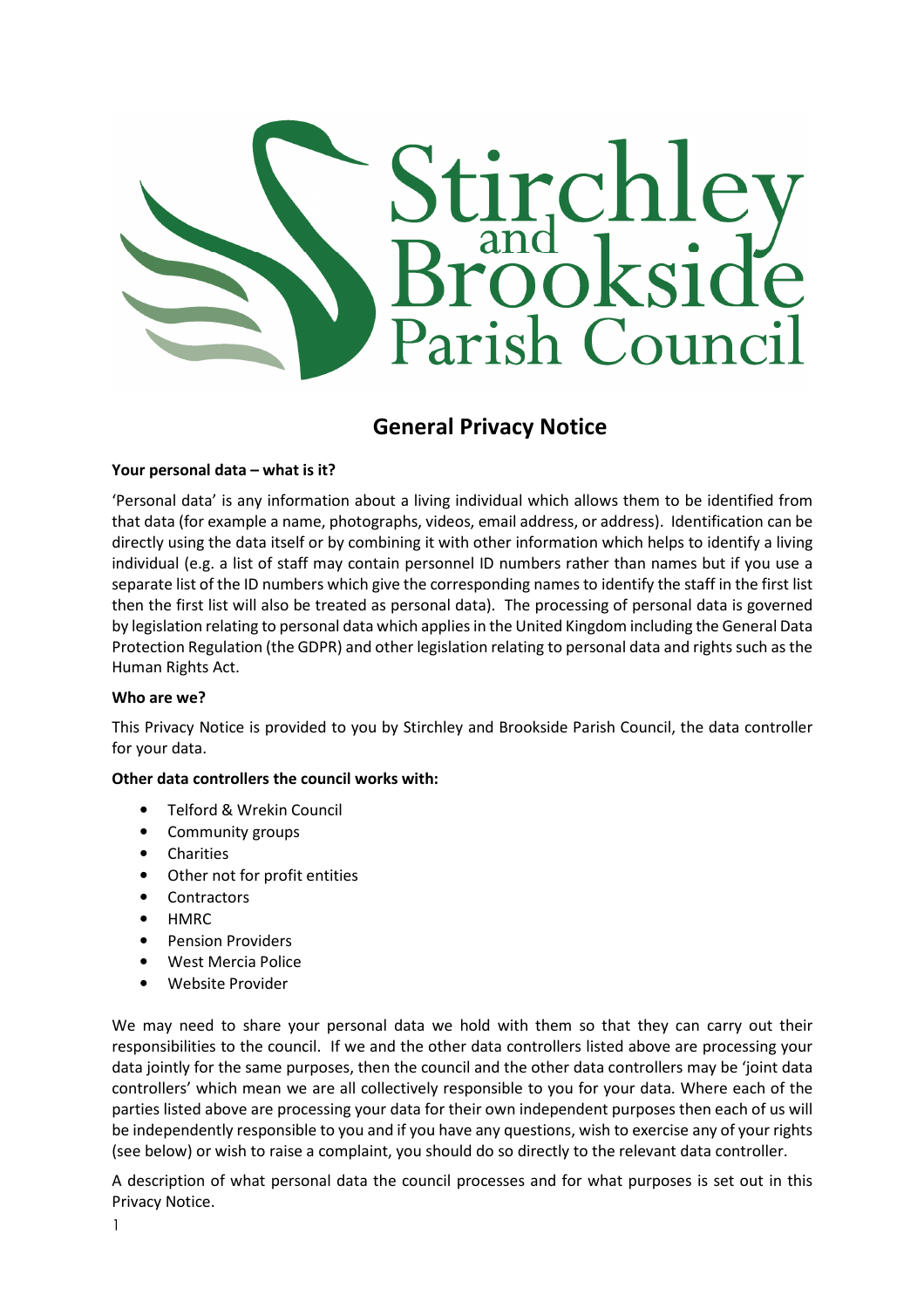

# General Privacy Notice

# Your personal data – what is it?

'Personal data' is any information about a living individual which allows them to be identified from that data (for example a name, photographs, videos, email address, or address). Identification can be directly using the data itself or by combining it with other information which helps to identify a living individual (e.g. a list of staff may contain personnel ID numbers rather than names but if you use a separate list of the ID numbers which give the corresponding names to identify the staff in the first list then the first list will also be treated as personal data). The processing of personal data is governed by legislation relating to personal data which applies in the United Kingdom including the General Data Protection Regulation (the GDPR) and other legislation relating to personal data and rights such as the Human Rights Act.

# Who are we?

This Privacy Notice is provided to you by Stirchley and Brookside Parish Council, the data controller for your data.

# Other data controllers the council works with:

- Telford & Wrekin Council
- Community groups
- Charities
- Other not for profit entities
- Contractors
- HMRC
- Pension Providers
- West Mercia Police
- Website Provider

We may need to share your personal data we hold with them so that they can carry out their responsibilities to the council. If we and the other data controllers listed above are processing your data jointly for the same purposes, then the council and the other data controllers may be 'joint data controllers' which mean we are all collectively responsible to you for your data. Where each of the parties listed above are processing your data for their own independent purposes then each of us will be independently responsible to you and if you have any questions, wish to exercise any of your rights (see below) or wish to raise a complaint, you should do so directly to the relevant data controller.

A description of what personal data the council processes and for what purposes is set out in this Privacy Notice.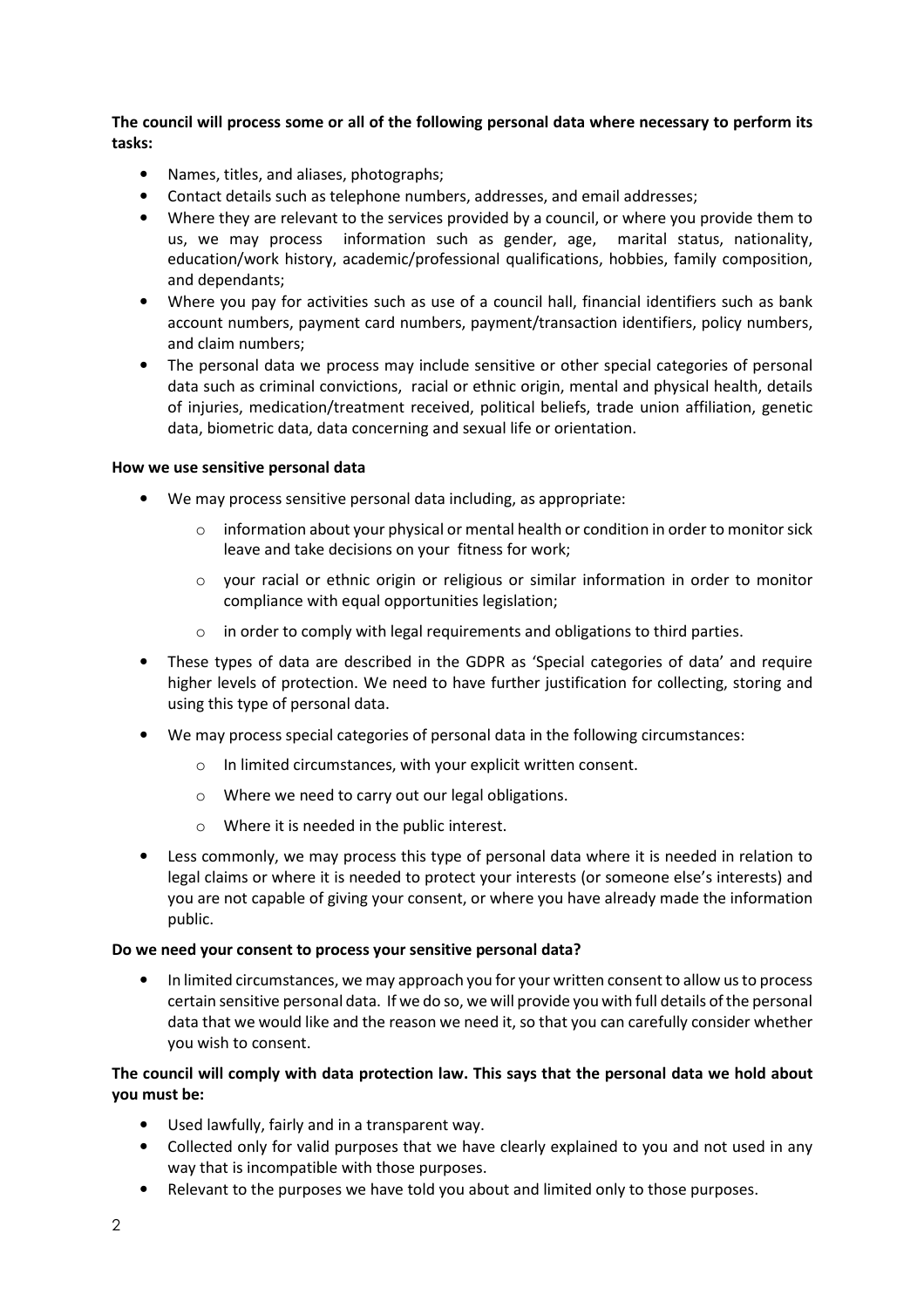The council will process some or all of the following personal data where necessary to perform its tasks:

- Names, titles, and aliases, photographs;
- Contact details such as telephone numbers, addresses, and email addresses;
- Where they are relevant to the services provided by a council, or where you provide them to us, we may process information such as gender, age, marital status, nationality, education/work history, academic/professional qualifications, hobbies, family composition, and dependants;
- Where you pay for activities such as use of a council hall, financial identifiers such as bank account numbers, payment card numbers, payment/transaction identifiers, policy numbers, and claim numbers;
- The personal data we process may include sensitive or other special categories of personal data such as criminal convictions, racial or ethnic origin, mental and physical health, details of injuries, medication/treatment received, political beliefs, trade union affiliation, genetic data, biometric data, data concerning and sexual life or orientation.

#### How we use sensitive personal data

- We may process sensitive personal data including, as appropriate:
	- o information about your physical or mental health or condition in order to monitor sick leave and take decisions on your fitness for work;
	- o your racial or ethnic origin or religious or similar information in order to monitor compliance with equal opportunities legislation;
	- o in order to comply with legal requirements and obligations to third parties.
- These types of data are described in the GDPR as 'Special categories of data' and require higher levels of protection. We need to have further justification for collecting, storing and using this type of personal data.
- We may process special categories of personal data in the following circumstances:
	- o In limited circumstances, with your explicit written consent.
	- o Where we need to carry out our legal obligations.
	- o Where it is needed in the public interest.
- Less commonly, we may process this type of personal data where it is needed in relation to legal claims or where it is needed to protect your interests (or someone else's interests) and you are not capable of giving your consent, or where you have already made the information public.

#### Do we need your consent to process your sensitive personal data?

• In limited circumstances, we may approach you for your written consent to allow us to process certain sensitive personal data. If we do so, we will provide you with full details of the personal data that we would like and the reason we need it, so that you can carefully consider whether you wish to consent.

# The council will comply with data protection law. This says that the personal data we hold about you must be:

- Used lawfully, fairly and in a transparent way.
- Collected only for valid purposes that we have clearly explained to you and not used in any way that is incompatible with those purposes.
- Relevant to the purposes we have told you about and limited only to those purposes.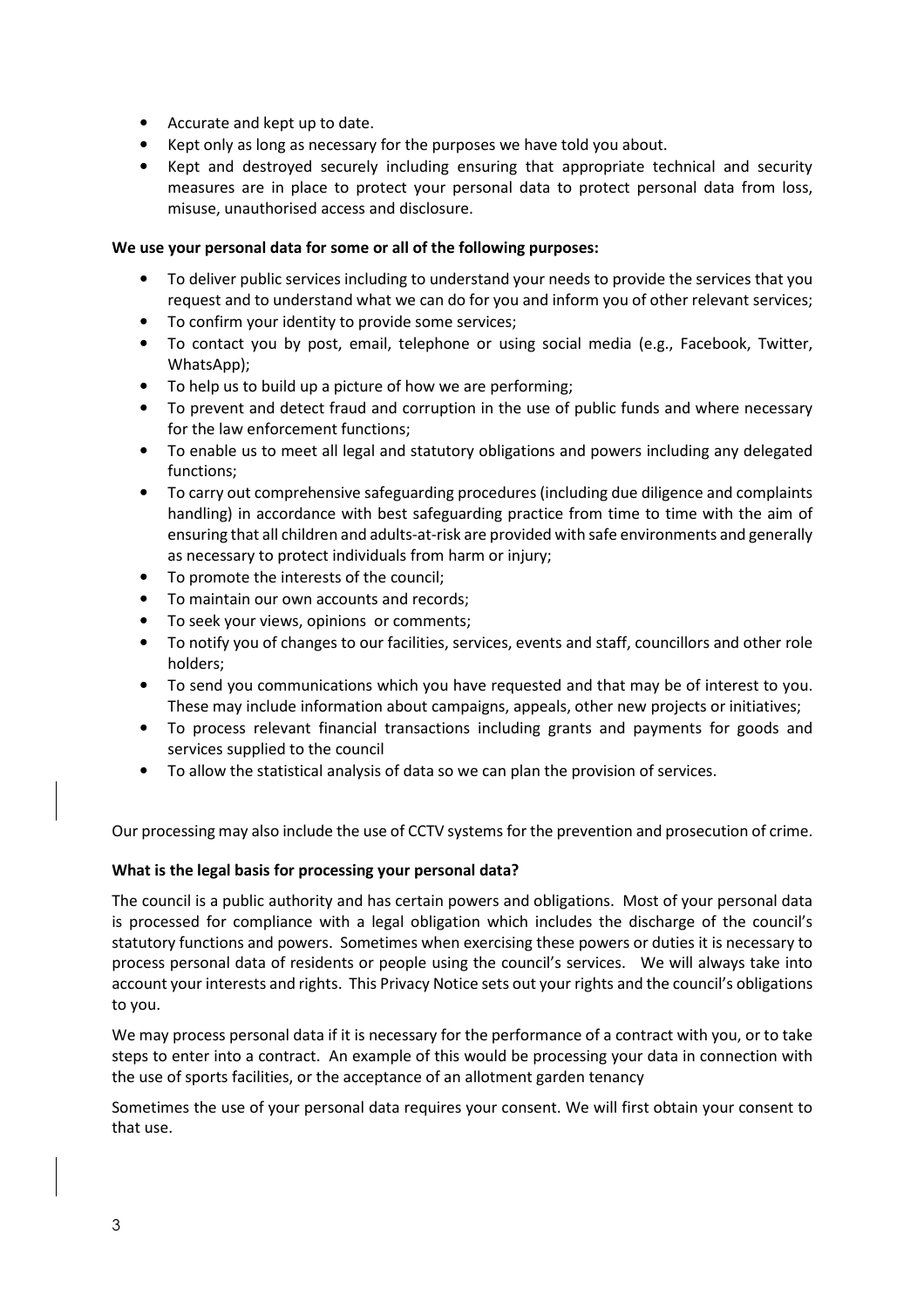- Accurate and kept up to date.
- Kept only as long as necessary for the purposes we have told you about.
- Kept and destroyed securely including ensuring that appropriate technical and security measures are in place to protect your personal data to protect personal data from loss, misuse, unauthorised access and disclosure.

#### We use your personal data for some or all of the following purposes:

- To deliver public services including to understand your needs to provide the services that you request and to understand what we can do for you and inform you of other relevant services;
- To confirm your identity to provide some services;
- To contact you by post, email, telephone or using social media (e.g., Facebook, Twitter, WhatsApp);
- To help us to build up a picture of how we are performing;
- To prevent and detect fraud and corruption in the use of public funds and where necessary for the law enforcement functions;
- To enable us to meet all legal and statutory obligations and powers including any delegated functions;
- To carry out comprehensive safeguarding procedures (including due diligence and complaints handling) in accordance with best safeguarding practice from time to time with the aim of ensuring that all children and adults-at-risk are provided with safe environments and generally as necessary to protect individuals from harm or injury;
- To promote the interests of the council;
- To maintain our own accounts and records;
- To seek your views, opinions or comments;
- To notify you of changes to our facilities, services, events and staff, councillors and other role holders;
- To send you communications which you have requested and that may be of interest to you. These may include information about campaigns, appeals, other new projects or initiatives;
- To process relevant financial transactions including grants and payments for goods and services supplied to the council
- To allow the statistical analysis of data so we can plan the provision of services.

Our processing may also include the use of CCTV systems for the prevention and prosecution of crime.

# What is the legal basis for processing your personal data?

The council is a public authority and has certain powers and obligations. Most of your personal data is processed for compliance with a legal obligation which includes the discharge of the council's statutory functions and powers. Sometimes when exercising these powers or duties it is necessary to process personal data of residents or people using the council's services. We will always take into account your interests and rights. This Privacy Notice sets out your rights and the council's obligations to you.

We may process personal data if it is necessary for the performance of a contract with you, or to take steps to enter into a contract. An example of this would be processing your data in connection with the use of sports facilities, or the acceptance of an allotment garden tenancy

Sometimes the use of your personal data requires your consent. We will first obtain your consent to that use.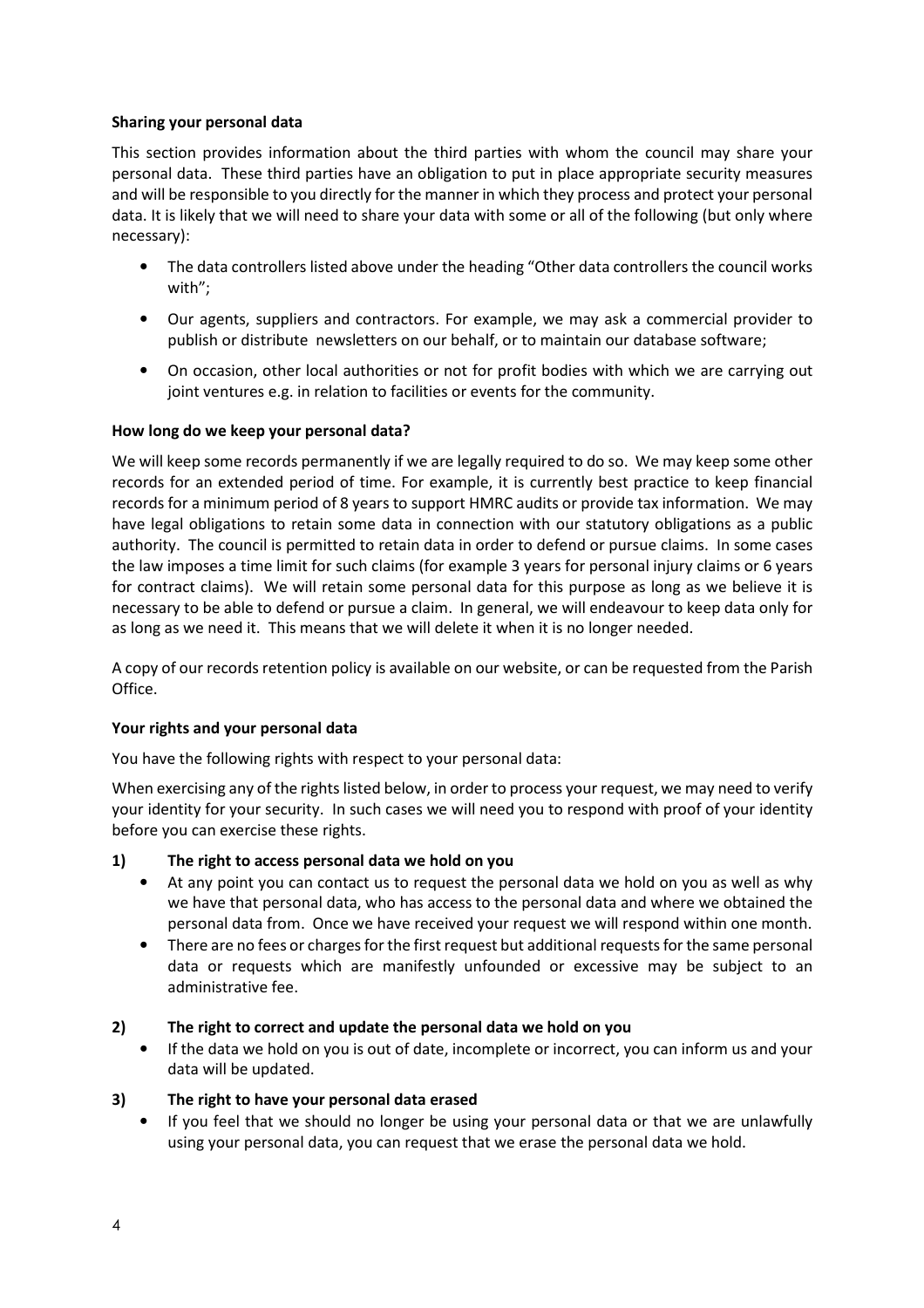# Sharing your personal data

This section provides information about the third parties with whom the council may share your personal data. These third parties have an obligation to put in place appropriate security measures and will be responsible to you directly for the manner in which they process and protect your personal data. It is likely that we will need to share your data with some or all of the following (but only where necessary):

- The data controllers listed above under the heading "Other data controllers the council works with";
- Our agents, suppliers and contractors. For example, we may ask a commercial provider to publish or distribute newsletters on our behalf, or to maintain our database software;
- On occasion, other local authorities or not for profit bodies with which we are carrying out joint ventures e.g. in relation to facilities or events for the community.

# How long do we keep your personal data?

We will keep some records permanently if we are legally required to do so. We may keep some other records for an extended period of time. For example, it is currently best practice to keep financial records for a minimum period of 8 years to support HMRC audits or provide tax information. We may have legal obligations to retain some data in connection with our statutory obligations as a public authority. The council is permitted to retain data in order to defend or pursue claims. In some cases the law imposes a time limit for such claims (for example 3 years for personal injury claims or 6 years for contract claims). We will retain some personal data for this purpose as long as we believe it is necessary to be able to defend or pursue a claim. In general, we will endeavour to keep data only for as long as we need it. This means that we will delete it when it is no longer needed.

A copy of our records retention policy is available on our website, or can be requested from the Parish Office.

# Your rights and your personal data

You have the following rights with respect to your personal data:

When exercising any of the rights listed below, in order to process your request, we may need to verify your identity for your security. In such cases we will need you to respond with proof of your identity before you can exercise these rights.

# 1) The right to access personal data we hold on you

- At any point you can contact us to request the personal data we hold on you as well as why we have that personal data, who has access to the personal data and where we obtained the personal data from. Once we have received your request we will respond within one month.
- There are no fees or charges for the first request but additional requests for the same personal data or requests which are manifestly unfounded or excessive may be subject to an administrative fee.

# 2) The right to correct and update the personal data we hold on you

• If the data we hold on you is out of date, incomplete or incorrect, you can inform us and your data will be updated.

# 3) The right to have your personal data erased

• If you feel that we should no longer be using your personal data or that we are unlawfully using your personal data, you can request that we erase the personal data we hold.